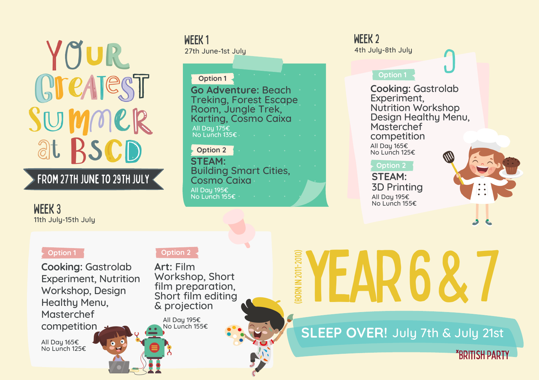YOUR Greatest SUMMER at RSCD

# FROM 27TH JUNE TO 29TH JULY

WEEK 3 11th July-15th July

WEEK 1 WEEK 2 WEEK 2 27th June-1st July 27th July-8th July

### **Go Adventure:** Beach Treking, Forest Escape Room, Jungle Trek, Karting, Cosmo Caixa **Option 1** All Day 175€ No Lunch 135€

**STEAM:** Building Smart Cities, Cosmo Caixa **Option 2** All Day 195€ No Lunch 155€

## **Option 1**

**Cooking:** Gastrolab Experiment, Nutrition Workshop Design Healthy Menu, **Masterchef** competition All Day 165€ No Lunch 125€

**STEAM:** 3D Printing All Day 195€ No Lunch 155€



**Cooking:** Gastrolab Experiment, Nutrition Workshop, Design Healthy Menu, Masterchef competition

All Day 165€ No Lunch 125€

#### **Option 1 1 1 1 1 Option 2**

**Art:** Film Workshop, Short film preparation, Short film editing & projection

All Day 195€ No Lunch 155€

# year6&7 (Born in 2011-2010)

**SLEEP OVER!** July 7th & July 21st